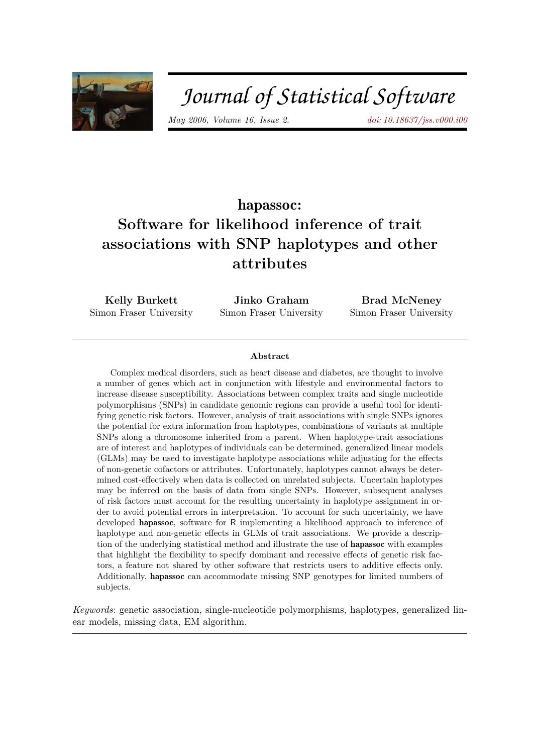

# Journal of Statistical Software

*May 2006, Volume 16, Issue 2. [doi: 10.18637/jss.v000.i00](https://doi.org/10.18637/jss.v000.i00)*

# hapassoc**: Software for likelihood inference of trait associations with SNP haplotypes and other attributes**

**Kelly Burkett** Simon Fraser University

**Jinko Graham** Simon Fraser University

**Brad McNeney** Simon Fraser University

#### **Abstract**

Complex medical disorders, such as heart disease and diabetes, are thought to involve a number of genes which act in conjunction with lifestyle and environmental factors to increase disease susceptibility. Associations between complex traits and single nucleotide polymorphisms (SNPs) in candidate genomic regions can provide a useful tool for identifying genetic risk factors. However, analysis of trait associations with single SNPs ignores the potential for extra information from haplotypes, combinations of variants at multiple SNPs along a chromosome inherited from a parent. When haplotype-trait associations are of interest and haplotypes of individuals can be determined, generalized linear models (GLMs) may be used to investigate haplotype associations while adjusting for the effects of non-genetic cofactors or attributes. Unfortunately, haplotypes cannot always be determined cost-effectively when data is collected on unrelated subjects. Uncertain haplotypes may be inferred on the basis of data from single SNPs. However, subsequent analyses of risk factors must account for the resulting uncertainty in haplotype assignment in order to avoid potential errors in interpretation. To account for such uncertainty, we have developed hapassoc, software for R implementing a likelihood approach to inference of haplotype and non-genetic effects in GLMs of trait associations. We provide a description of the underlying statistical method and illustrate the use of hapassoc with examples that highlight the flexibility to specify dominant and recessive effects of genetic risk factors, a feature not shared by other software that restricts users to additive effects only. Additionally, hapassoc can accommodate missing SNP genotypes for limited numbers of subjects.

*Keywords*: genetic association, single-nucleotide polymorphisms, haplotypes, generalized linear models, missing data, EM algorithm.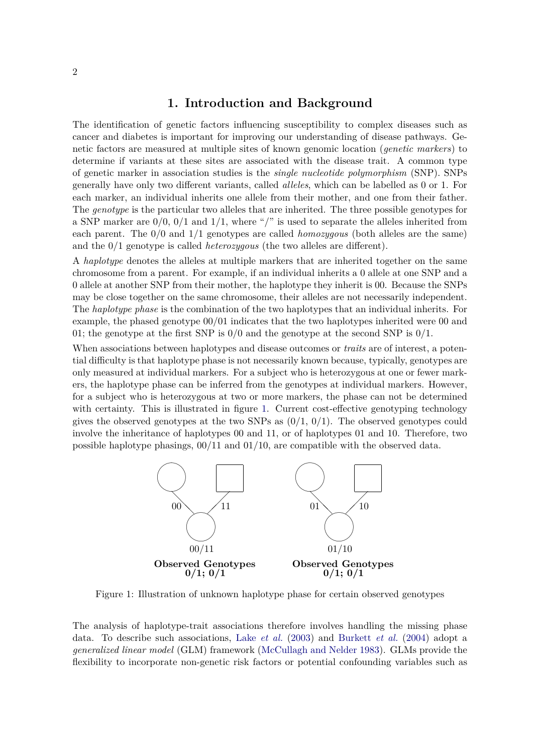# **1. Introduction and Background**

<span id="page-1-0"></span>The identification of genetic factors influencing susceptibility to complex diseases such as cancer and diabetes is important for improving our understanding of disease pathways. Genetic factors are measured at multiple sites of known genomic location (*genetic markers*) to determine if variants at these sites are associated with the disease trait. A common type of genetic marker in association studies is the *single nucleotide polymorphism* (SNP). SNPs generally have only two different variants, called *alleles*, which can be labelled as 0 or 1. For each marker, an individual inherits one allele from their mother, and one from their father. The *genotype* is the particular two alleles that are inherited. The three possible genotypes for a SNP marker are  $0/0$ ,  $0/1$  and  $1/1$ , where "/" is used to separate the alleles inherited from each parent. The 0/0 and 1/1 genotypes are called *homozygous* (both alleles are the same) and the 0/1 genotype is called *heterozygous* (the two alleles are different).

A *haplotype* denotes the alleles at multiple markers that are inherited together on the same chromosome from a parent. For example, if an individual inherits a 0 allele at one SNP and a 0 allele at another SNP from their mother, the haplotype they inherit is 00. Because the SNPs may be close together on the same chromosome, their alleles are not necessarily independent. The *haplotype phase* is the combination of the two haplotypes that an individual inherits. For example, the phased genotype 00/01 indicates that the two haplotypes inherited were 00 and 01; the genotype at the first SNP is  $0/0$  and the genotype at the second SNP is  $0/1$ .

When associations between haplotypes and disease outcomes or *traits* are of interest, a potential difficulty is that haplotype phase is not necessarily known because, typically, genotypes are only measured at individual markers. For a subject who is heterozygous at one or fewer markers, the haplotype phase can be inferred from the genotypes at individual markers. However, for a subject who is heterozygous at two or more markers, the phase can not be determined with certainty. This is illustrated in figure [1.](#page-1-0) Current cost-effective genotyping technology gives the observed genotypes at the two SNPs as  $(0/1, 0/1)$ . The observed genotypes could involve the inheritance of haplotypes 00 and 11, or of haplotypes 01 and 10. Therefore, two possible haplotype phasings, 00/11 and 01/10, are compatible with the observed data.



Figure 1: Illustration of unknown haplotype phase for certain observed genotypes

The analysis of haplotype-trait associations therefore involves handling the missing phase data. To describe such associations, Lake *[et al.](#page-15-0)* [\(2003\)](#page-15-0) and [Burkett](#page-15-1) *et al.* [\(2004\)](#page-15-1) adopt a *generalized linear model* (GLM) framework [\(McCullagh and Nelder 1983\)](#page-16-0). GLMs provide the flexibility to incorporate non-genetic risk factors or potential confounding variables such as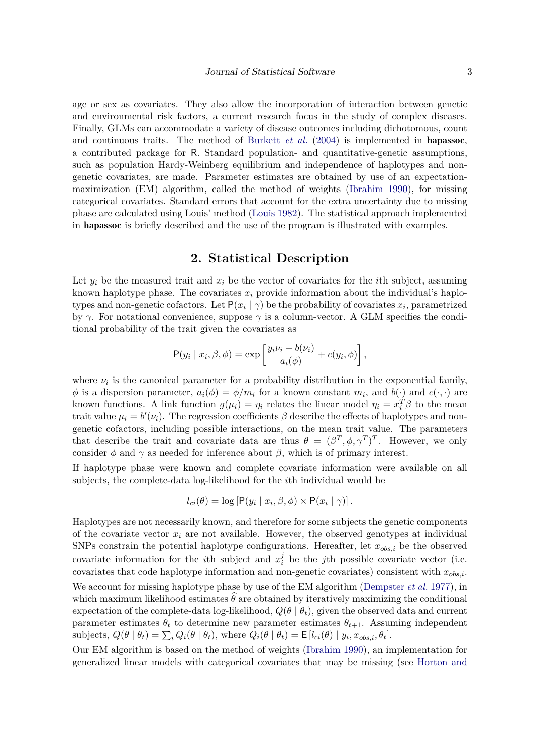age or sex as covariates. They also allow the incorporation of interaction between genetic and environmental risk factors, a current research focus in the study of complex diseases. Finally, GLMs can accommodate a variety of disease outcomes including dichotomous, count and continuous traits. The method of [Burkett](#page-15-1) *et al.* [\(2004\)](#page-15-1) is implemented in hapassoc, a contributed package for R. Standard population- and quantitative-genetic assumptions, such as population Hardy-Weinberg equilibrium and independence of haplotypes and nongenetic covariates, are made. Parameter estimates are obtained by use of an expectationmaximization (EM) algorithm, called the method of weights [\(Ibrahim 1990\)](#page-15-2), for missing categorical covariates. Standard errors that account for the extra uncertainty due to missing phase are calculated using Louis' method [\(Louis 1982\)](#page-16-1). The statistical approach implemented in hapassoc is briefly described and the use of the program is illustrated with examples.

## **2. Statistical Description**

Let  $y_i$  be the measured trait and  $x_i$  be the vector of covariates for the *i*th subject, assuming known haplotype phase. The covariates  $x_i$  provide information about the individual's haplotypes and non-genetic cofactors. Let  $P(x_i | \gamma)$  be the probability of covariates  $x_i$ , parametrized by *γ*. For notational convenience, suppose *γ* is a column-vector. A GLM specifies the conditional probability of the trait given the covariates as

$$
P(y_i | x_i, \beta, \phi) = \exp\left[\frac{y_i \nu_i - b(\nu_i)}{a_i(\phi)} + c(y_i, \phi)\right],
$$

where  $\nu_i$  is the canonical parameter for a probability distribution in the exponential family,  $\phi$  is a dispersion parameter,  $a_i(\phi) = \phi/m_i$  for a known constant  $m_i$ , and  $b(\cdot)$  and  $c(\cdot, \cdot)$  are known functions. A link function  $g(\mu_i) = \eta_i$  relates the linear model  $\eta_i = x_i^T \beta$  to the mean trait value  $\mu_i = b'(\nu_i)$ . The regression coefficients  $\beta$  describe the effects of haplotypes and nongenetic cofactors, including possible interactions, on the mean trait value. The parameters that describe the trait and covariate data are thus  $\theta = (\beta^T, \phi, \gamma^T)^T$ . However, we only consider  $\phi$  and  $\gamma$  as needed for inference about  $\beta$ , which is of primary interest.

If haplotype phase were known and complete covariate information were available on all subjects, the complete-data log-likelihood for the *i*th individual would be

$$
l_{ci}(\theta) = \log [P(y_i | x_i, \beta, \phi) \times P(x_i | \gamma)].
$$

Haplotypes are not necessarily known, and therefore for some subjects the genetic components of the covariate vector  $x_i$  are not available. However, the observed genotypes at individual SNPs constrain the potential haplotype configurations. Hereafter, let  $x_{obs,i}$  be the observed covariate information for the *i*th subject and  $x_i^j$  $\mathbf{v}_i^j$  be the *j*th possible covariate vector (i.e. covariates that code haplotype information and non-genetic covariates) consistent with *xobs,i*. We account for missing haplotype phase by use of the EM algorithm [\(Dempster](#page-15-3) *et al.* [1977\)](#page-15-3), in which maximum likelihood estimates  $\hat{\theta}$  are obtained by iteratively maximizing the conditional expectation of the complete-data log-likelihood,  $Q(\theta | \theta_t)$ , given the observed data and current parameter estimates  $\theta_t$  to determine new parameter estimates  $\theta_{t+1}$ . Assuming independent subjects,  $Q(\theta | \theta_t) = \sum_i Q_i(\theta | \theta_t)$ , where  $Q_i(\theta | \theta_t) = \mathsf{E}[l_{ci}(\theta) | y_i, x_{obs,i}, \theta_t]$ .

Our EM algorithm is based on the method of weights [\(Ibrahim 1990\)](#page-15-2), an implementation for generalized linear models with categorical covariates that may be missing (see [Horton and](#page-15-4)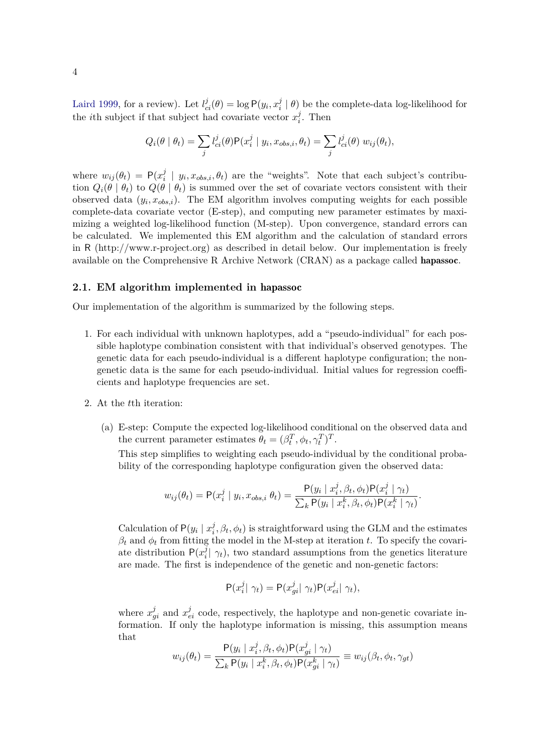[Laird 1999,](#page-15-4) for a review). Let  $l_{ci}^{j}(\theta) = \log P(y_i, x_i^j)$  $\binom{J}{i}$   $\theta$  be the complete-data log-likelihood for the *i*th subject if that subject had covariate vector  $x_i^j$  $i<sup>j</sup>$ . Then

$$
Q_i(\theta \mid \theta_t) = \sum_j l_{ci}^j(\theta) P(x_i^j \mid y_i, x_{obs,i}, \theta_t) = \sum_j l_{ci}^j(\theta) w_{ij}(\theta_t),
$$

where  $w_{ij}(\theta_t) = P(x_i^j)$  $y_i \mid y_i, x_{obs,i}, \theta_t$  are the "weights". Note that each subject's contribution  $Q_i(\theta | \theta_t)$  to  $Q(\theta | \theta_t)$  is summed over the set of covariate vectors consistent with their observed data  $(y_i, x_{obs,i})$ . The EM algorithm involves computing weights for each possible complete-data covariate vector (E-step), and computing new parameter estimates by maximizing a weighted log-likelihood function (M-step). Upon convergence, standard errors can be calculated. We implemented this EM algorithm and the calculation of standard errors in R (http://www.r-project.org) as described in detail below. Our implementation is freely available on the Comprehensive R Archive Network (CRAN) as a package called hapassoc.

#### **2.1. EM algorithm implemented in** hapassoc

Our implementation of the algorithm is summarized by the following steps.

- 1. For each individual with unknown haplotypes, add a "pseudo-individual" for each possible haplotype combination consistent with that individual's observed genotypes. The genetic data for each pseudo-individual is a different haplotype configuration; the nongenetic data is the same for each pseudo-individual. Initial values for regression coefficients and haplotype frequencies are set.
- 2. At the *t*th iteration:
	- (a) E-step: Compute the expected log-likelihood conditional on the observed data and the current parameter estimates  $\theta_t = (\beta_t^T, \phi_t, \gamma_t^T)^T$ .

This step simplifies to weighting each pseudo-individual by the conditional probability of the corresponding haplotype configuration given the observed data:

$$
w_{ij}(\theta_t) = \mathsf{P}(x_i^j \mid y_i, x_{obs,i} \theta_t) = \frac{\mathsf{P}(y_i \mid x_i^j, \beta_t, \phi_t) \mathsf{P}(x_i^j \mid \gamma_t)}{\sum_k \mathsf{P}(y_i \mid x_i^k, \beta_t, \phi_t) \mathsf{P}(x_i^k \mid \gamma_t)}.
$$

Calculation of  $P(y_i | x_i^j)$  $\beta_i^{\jmath}, \beta_t, \phi_t$ ) is straightforward using the GLM and the estimates  $\beta_t$  and  $\phi_t$  from fitting the model in the M-step at iteration *t*. To specify the covariate distribution  $P(x_i^j)$  $\hat{i}$   $\gamma$ <sup>*t*</sup>), two standard assumptions from the genetics literature are made. The first is independence of the genetic and non-genetic factors:

$$
\mathsf{P}(x_i^j | \gamma_t) = \mathsf{P}(x_{gi}^j | \gamma_t) \mathsf{P}(x_{ei}^j | \gamma_t),
$$

where  $x_{gi}^j$  and  $x_{ei}^j$  code, respectively, the haplotype and non-genetic covariate information. If only the haplotype information is missing, this assumption means that

$$
w_{ij}(\theta_t) = \frac{\mathsf{P}(y_i \mid x_i^j, \beta_t, \phi_t) \mathsf{P}(x_{gi}^j \mid \gamma_t)}{\sum_k \mathsf{P}(y_i \mid x_i^k, \beta_t, \phi_t) \mathsf{P}(x_{gi}^k \mid \gamma_t)} \equiv w_{ij}(\beta_t, \phi_t, \gamma_{gt})
$$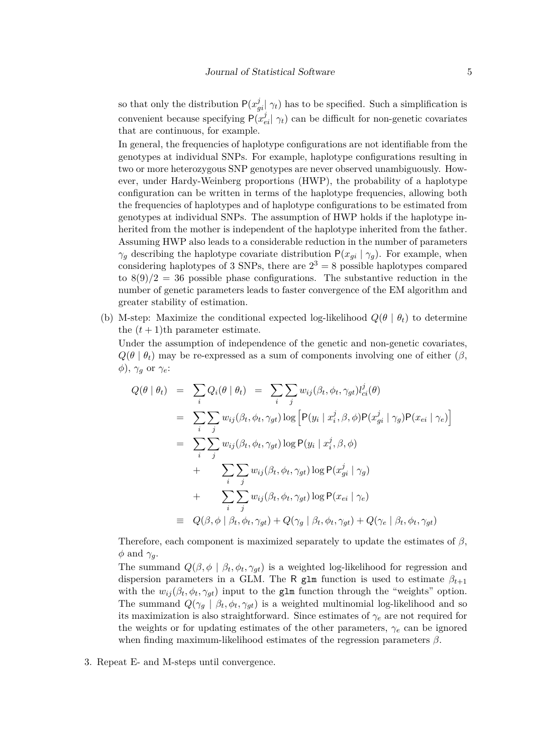so that only the distribution  $P(x_{gi}^j | \gamma_t)$  has to be specified. Such a simplification is convenient because specifying  $P(x_{ei}^j | \gamma_t)$  can be difficult for non-genetic covariates that are continuous, for example.

In general, the frequencies of haplotype configurations are not identifiable from the genotypes at individual SNPs. For example, haplotype configurations resulting in two or more heterozygous SNP genotypes are never observed unambiguously. However, under Hardy-Weinberg proportions (HWP), the probability of a haplotype configuration can be written in terms of the haplotype frequencies, allowing both the frequencies of haplotypes and of haplotype configurations to be estimated from genotypes at individual SNPs. The assumption of HWP holds if the haplotype inherited from the mother is independent of the haplotype inherited from the father. Assuming HWP also leads to a considerable reduction in the number of parameters *γ*<sub>*g*</sub> describing the haplotype covariate distribution  $P(x_{gi} | \gamma_g)$ . For example, when considering haplotypes of 3 SNPs, there are  $2^3 = 8$  possible haplotypes compared to  $8(9)/2 = 36$  possible phase configurations. The substantive reduction in the number of genetic parameters leads to faster convergence of the EM algorithm and greater stability of estimation.

(b) M-step: Maximize the conditional expected log-likelihood  $Q(\theta | \theta_t)$  to determine the  $(t+1)$ <sup>th</sup> parameter estimate.

Under the assumption of independence of the genetic and non-genetic covariates,  $Q(\theta \mid \theta_t)$  may be re-expressed as a sum of components involving one of either  $(\beta, \theta_t)$ *φ*), *γ<sup>g</sup>* or *γe*:

$$
Q(\theta | \theta_t) = \sum_{i} Q_i(\theta | \theta_t) = \sum_{i} \sum_{j} w_{ij}(\beta_t, \phi_t, \gamma_{gt}) l_{ci}^j(\theta)
$$
  
\n
$$
= \sum_{i} \sum_{j} w_{ij}(\beta_t, \phi_t, \gamma_{gt}) \log \left[ P(y_i | x_i^j, \beta, \phi) P(x_{gi}^j | \gamma_g) P(x_{ei} | \gamma_e) \right]
$$
  
\n
$$
= \sum_{i} \sum_{j} w_{ij}(\beta_t, \phi_t, \gamma_{gt}) \log P(y_i | x_i^j, \beta, \phi)
$$
  
\n
$$
+ \sum_{i} \sum_{j} w_{ij}(\beta_t, \phi_t, \gamma_{gt}) \log P(x_{gi}^j | \gamma_g)
$$
  
\n
$$
+ \sum_{i} \sum_{j} w_{ij}(\beta_t, \phi_t, \gamma_{gt}) \log P(x_{ei} | \gamma_e)
$$
  
\n
$$
= Q(\beta, \phi | \beta_t, \phi_t, \gamma_{gt}) + Q(\gamma_g | \beta_t, \phi_t, \gamma_{gt}) + Q(\gamma_e | \beta_t, \phi_t, \gamma_{gt})
$$

Therefore, each component is maximized separately to update the estimates of  $\beta$ ,  $\phi$  and  $\gamma_q$ .

The summand  $Q(\beta, \phi \mid \beta_t, \phi_t, \gamma_{gt})$  is a weighted log-likelihood for regression and dispersion parameters in a GLM. The R glm function is used to estimate  $\beta_{t+1}$ with the  $w_{ij}(\beta_t, \phi_t, \gamma_{gt})$  input to the glm function through the "weights" option. The summand  $Q(\gamma_g \mid \beta_t, \phi_t, \gamma_{gt})$  is a weighted multinomial log-likelihood and so its maximization is also straightforward. Since estimates of  $\gamma_e$  are not required for the weights or for updating estimates of the other parameters,  $\gamma_e$  can be ignored when finding maximum-likelihood estimates of the regression parameters *β*.

3. Repeat E- and M-steps until convergence.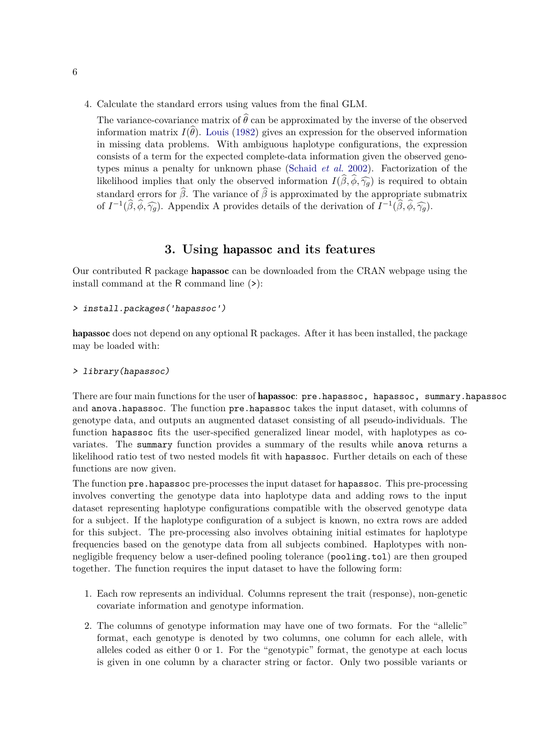4. Calculate the standard errors using values from the final GLM.

The variance-covariance matrix of  $\hat{\theta}$  can be approximated by the inverse of the observed information matrix  $I(\theta)$ . [Louis](#page-16-1) [\(1982\)](#page-16-1) gives an expression for the observed information in missing data problems. With ambiguous haplotype configurations, the expression consists of a term for the expected complete-data information given the observed genotypes minus a penalty for unknown phase [\(Schaid](#page-16-2) *et al.* [2002\)](#page-16-2). Factorization of the likelihood implies that only the observed information  $I(\beta, \phi, \widehat{\gamma_g})$  is required to obtain standard errors for  $\hat{\beta}$ . The variance of  $\hat{\beta}$  is approximated by the appropriate submatrix of  $I^{-1}(\hat{\beta}, \hat{\phi}, \hat{\gamma_g})$ . Appendix A provides details of the derivation of  $I^{-1}(\hat{\beta}, \hat{\phi}, \hat{\gamma_g})$ .

# **3. Using** hapassoc **and its features**

Our contributed R package hapassoc can be downloaded from the CRAN webpage using the install command at the R command line (>):

> install.packages('hapassoc')

hapassoc does not depend on any optional R packages. After it has been installed, the package may be loaded with:

#### > library(hapassoc)

There are four main functions for the user of hapassoc: pre.hapassoc, hapassoc, summary.hapassoc and anova.hapassoc. The function pre.hapassoc takes the input dataset, with columns of genotype data, and outputs an augmented dataset consisting of all pseudo-individuals. The function hapassoc fits the user-specified generalized linear model, with haplotypes as covariates. The summary function provides a summary of the results while anova returns a likelihood ratio test of two nested models fit with hapassoc. Further details on each of these functions are now given.

The function pre.hapassoc pre-processes the input dataset for hapassoc. This pre-processing involves converting the genotype data into haplotype data and adding rows to the input dataset representing haplotype configurations compatible with the observed genotype data for a subject. If the haplotype configuration of a subject is known, no extra rows are added for this subject. The pre-processing also involves obtaining initial estimates for haplotype frequencies based on the genotype data from all subjects combined. Haplotypes with nonnegligible frequency below a user-defined pooling tolerance (pooling.tol) are then grouped together. The function requires the input dataset to have the following form:

- 1. Each row represents an individual. Columns represent the trait (response), non-genetic covariate information and genotype information.
- 2. The columns of genotype information may have one of two formats. For the "allelic" format, each genotype is denoted by two columns, one column for each allele, with alleles coded as either 0 or 1. For the "genotypic" format, the genotype at each locus is given in one column by a character string or factor. Only two possible variants or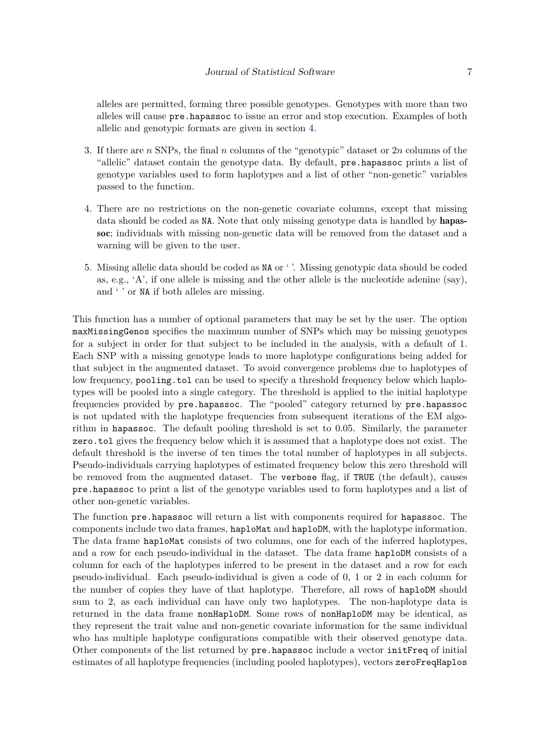alleles are permitted, forming three possible genotypes. Genotypes with more than two alleles will cause pre.hapassoc to issue an error and stop execution. Examples of both allelic and genotypic formats are given in section [4.](#page-7-0)

- 3. If there are *n* SNPs, the final *n* columns of the "genotypic" dataset or 2*n* columns of the "allelic" dataset contain the genotype data. By default, pre.hapassoc prints a list of genotype variables used to form haplotypes and a list of other "non-genetic" variables passed to the function.
- 4. There are no restrictions on the non-genetic covariate columns, except that missing data should be coded as NA. Note that only missing genotype data is handled by **hapas**soc; individuals with missing non-genetic data will be removed from the dataset and a warning will be given to the user.
- 5. Missing allelic data should be coded as NA or ' '. Missing genotypic data should be coded as, e.g., 'A', if one allele is missing and the other allele is the nucleotide adenine (say), and ' ' or NA if both alleles are missing.

This function has a number of optional parameters that may be set by the user. The option maxMissingGenos specifies the maximum number of SNPs which may be missing genotypes for a subject in order for that subject to be included in the analysis, with a default of 1. Each SNP with a missing genotype leads to more haplotype configurations being added for that subject in the augmented dataset. To avoid convergence problems due to haplotypes of low frequency, pooling.tol can be used to specify a threshold frequency below which haplotypes will be pooled into a single category. The threshold is applied to the initial haplotype frequencies provided by pre.hapassoc. The "pooled" category returned by pre.hapassoc is not updated with the haplotype frequencies from subsequent iterations of the EM algorithm in hapassoc. The default pooling threshold is set to 0.05. Similarly, the parameter zero.tol gives the frequency below which it is assumed that a haplotype does not exist. The default threshold is the inverse of ten times the total number of haplotypes in all subjects. Pseudo-individuals carrying haplotypes of estimated frequency below this zero threshold will be removed from the augmented dataset. The verbose flag, if TRUE (the default), causes pre.hapassoc to print a list of the genotype variables used to form haplotypes and a list of other non-genetic variables.

The function pre.hapassoc will return a list with components required for hapassoc. The components include two data frames, haploMat and haploDM, with the haplotype information. The data frame haploMat consists of two columns, one for each of the inferred haplotypes, and a row for each pseudo-individual in the dataset. The data frame haploDM consists of a column for each of the haplotypes inferred to be present in the dataset and a row for each pseudo-individual. Each pseudo-individual is given a code of 0, 1 or 2 in each column for the number of copies they have of that haplotype. Therefore, all rows of haploDM should sum to 2, as each individual can have only two haplotypes. The non-haplotype data is returned in the data frame nonHaploDM. Some rows of nonHaploDM may be identical, as they represent the trait value and non-genetic covariate information for the same individual who has multiple haplotype configurations compatible with their observed genotype data. Other components of the list returned by pre.hapassoc include a vector initFreq of initial estimates of all haplotype frequencies (including pooled haplotypes), vectors zeroFreqHaplos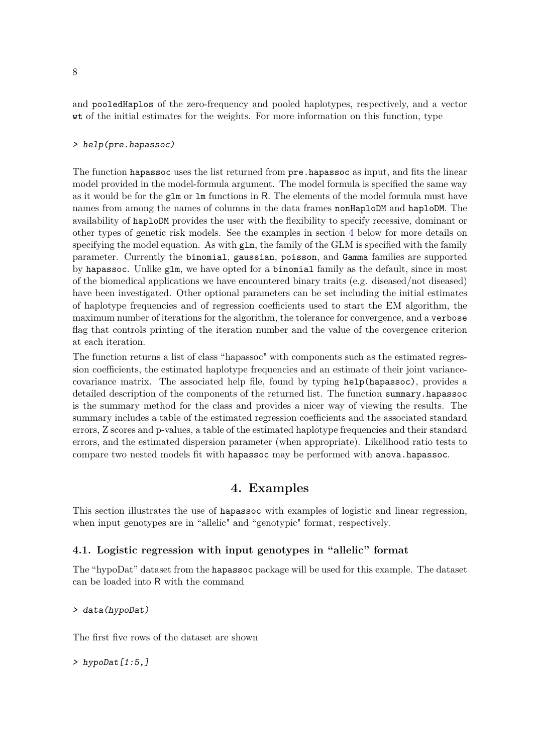and pooledHaplos of the zero-frequency and pooled haplotypes, respectively, and a vector wt of the initial estimates for the weights. For more information on this function, type

#### > help(pre.hapassoc)

The function hapassoc uses the list returned from pre.hapassoc as input, and fits the linear model provided in the model-formula argument. The model formula is specified the same way as it would be for the glm or lm functions in R. The elements of the model formula must have names from among the names of columns in the data frames nonHaploDM and haploDM. The availability of haploDM provides the user with the flexibility to specify recessive, dominant or other types of genetic risk models. See the examples in section [4](#page-7-0) below for more details on specifying the model equation. As with  $g \ln n$ , the family of the GLM is specified with the family parameter. Currently the binomial, gaussian, poisson, and Gamma families are supported by hapassoc. Unlike glm, we have opted for a binomial family as the default, since in most of the biomedical applications we have encountered binary traits (e.g. diseased/not diseased) have been investigated. Other optional parameters can be set including the initial estimates of haplotype frequencies and of regression coefficients used to start the EM algorithm, the maximum number of iterations for the algorithm, the tolerance for convergence, and a verbose flag that controls printing of the iteration number and the value of the covergence criterion at each iteration.

The function returns a list of class "hapassoc" with components such as the estimated regression coefficients, the estimated haplotype frequencies and an estimate of their joint variancecovariance matrix. The associated help file, found by typing help(hapassoc), provides a detailed description of the components of the returned list. The function summary.hapassoc is the summary method for the class and provides a nicer way of viewing the results. The summary includes a table of the estimated regression coefficients and the associated standard errors, Z scores and p-values, a table of the estimated haplotype frequencies and their standard errors, and the estimated dispersion parameter (when appropriate). Likelihood ratio tests to compare two nested models fit with hapassoc may be performed with anova.hapassoc.

# **4. Examples**

<span id="page-7-0"></span>This section illustrates the use of hapassoc with examples of logistic and linear regression, when input genotypes are in "allelic" and "genotypic" format, respectively.

#### **4.1. Logistic regression with input genotypes in "allelic" format**

The "hypoDat" dataset from the hapassoc package will be used for this example. The dataset can be loaded into R with the command

#### > data(hypoDat)

The first five rows of the dataset are shown

 $>$  hypoDat  $[1:5,]$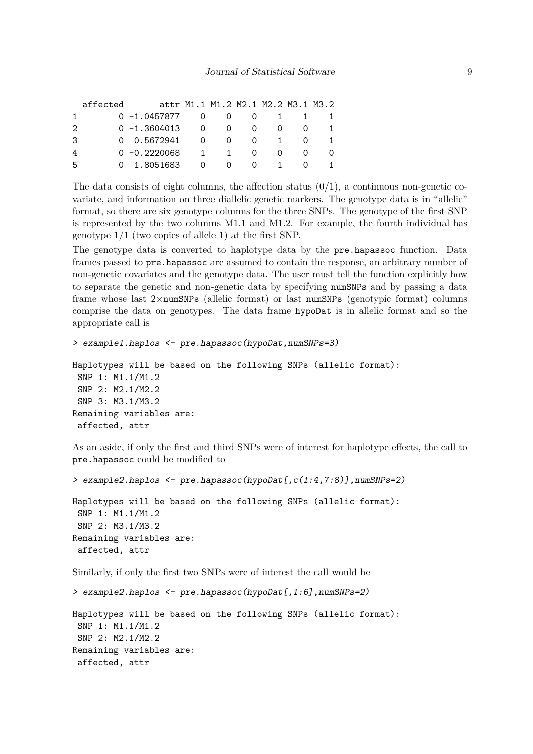|  | 0                                                                                               | $\left( \right)$ | $\Omega$                                   |                                    |
|--|-------------------------------------------------------------------------------------------------|------------------|--------------------------------------------|------------------------------------|
|  | $\Omega$                                                                                        |                  |                                            |                                    |
|  |                                                                                                 |                  |                                            |                                    |
|  |                                                                                                 | $\left( \right)$ |                                            |                                    |
|  | affected<br>$0 - 1.0457877$<br>$0 - 1.3604013$<br>0 0.5672941<br>$0 - 0.2220068$<br>0 1.8051683 | $-1$<br>(        | ()<br>$\Omega$<br>$\mathbf{1}$<br>$\Omega$ | attr M1.1 M1.2 M2.1 M2.2 M3.1 M3.2 |

The data consists of eight columns, the affection status  $(0/1)$ , a continuous non-genetic covariate, and information on three diallelic genetic markers. The genotype data is in "allelic" format, so there are six genotype columns for the three SNPs. The genotype of the first SNP is represented by the two columns M1.1 and M1.2. For example, the fourth individual has genotype 1/1 (two copies of allele 1) at the first SNP.

The genotype data is converted to haplotype data by the pre.hapassoc function. Data frames passed to pre.hapassoc are assumed to contain the response, an arbitrary number of non-genetic covariates and the genotype data. The user must tell the function explicitly how to separate the genetic and non-genetic data by specifying numSNPs and by passing a data frame whose last  $2\times$ numSNPs (allelic format) or last numSNPs (genotypic format) columns comprise the data on genotypes. The data frame hypoDat is in allelic format and so the appropriate call is

```
> example1.haplos <- pre.hapassoc(hypoDat,numSNPs=3)
```

```
Haplotypes will be based on the following SNPs (allelic format):
SNP 1: M1.1/M1.2
SNP 2: M2.1/M2.2
SNP 3: M3.1/M3.2
Remaining variables are:
 affected, attr
```
As an aside, if only the first and third SNPs were of interest for haplotype effects, the call to pre.hapassoc could be modified to

> example2.haplos <- pre.hapassoc(hypoDat[,c(1:4,7:8)],numSNPs=2)

Haplotypes will be based on the following SNPs (allelic format): SNP 1: M1.1/M1.2 SNP 2: M3.1/M3.2 Remaining variables are: affected, attr

Similarly, if only the first two SNPs were of interest the call would be

```
> example2.haplos <- pre.hapassoc(hypoDat[,1:6],numSNPs=2)
Haplotypes will be based on the following SNPs (allelic format):
SNP 1: M1.1/M1.2
SNP 2: M2.1/M2.2
Remaining variables are:
 affected, attr
```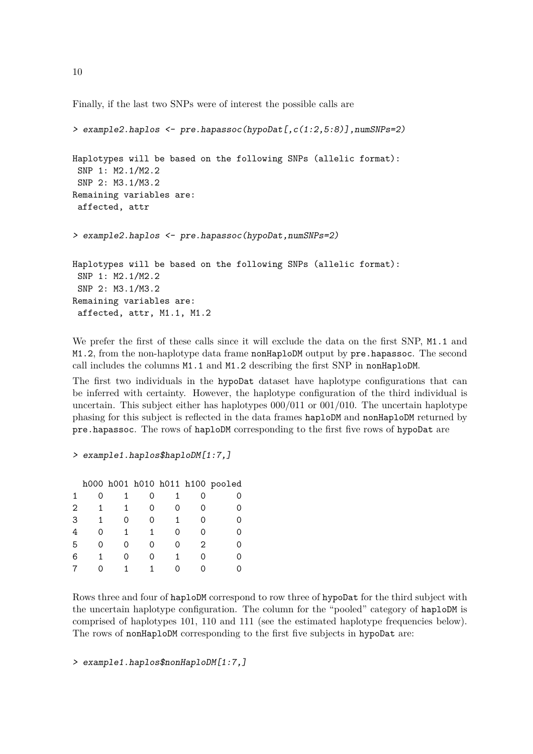Finally, if the last two SNPs were of interest the possible calls are

```
> example2.haplos <- pre.hapassoc(hypoDat[,c(1:2,5:8)],numSNPs=2)
Haplotypes will be based on the following SNPs (allelic format):
SNP 1: M2.1/M2.2
SNP 2: M3.1/M3.2
Remaining variables are:
 affected, attr
> example2.haplos <- pre.hapassoc(hypoDat,numSNPs=2)
Haplotypes will be based on the following SNPs (allelic format):
SNP 1: M2.1/M2.2
SNP 2: M3.1/M3.2
Remaining variables are:
affected, attr, M1.1, M1.2
```
We prefer the first of these calls since it will exclude the data on the first SNP, M1.1 and M1.2, from the non-haplotype data frame nonHaploDM output by pre.hapassoc. The second call includes the columns M1.1 and M1.2 describing the first SNP in nonHaploDM.

The first two individuals in the hypoDat dataset have haplotype configurations that can be inferred with certainty. However, the haplotype configuration of the third individual is uncertain. This subject either has haplotypes 000/011 or 001/010. The uncertain haplotype phasing for this subject is reflected in the data frames haploDM and nonHaploDM returned by pre.hapassoc. The rows of haploDM corresponding to the first five rows of hypoDat are

> example1.haplos\$haploDM[1:7,]

|  |   |  | h000 h001 h010 h011 h100 pooled |
|--|---|--|---------------------------------|
|  | . |  |                                 |

| $\overline{0}$ |                | $\overline{0}$ | $\overline{1}$ | 0        | O. |
|----------------|----------------|----------------|----------------|----------|----|
| 1              | 1              | $\mathsf{O}$   | $\overline{0}$ | 0        | 0  |
| $\mathbf{1}$   | $\overline{0}$ | $\overline{0}$ | $\mathbf{1}$   | 0        | 0  |
| $\Omega$       | 1              | 1              | $\Omega$       | $\Omega$ | 0  |
| $\overline{0}$ | $\overline{0}$ | $\overline{0}$ | $\overline{0}$ | 2        | 0  |
| 1              | $\overline{0}$ | $\mathsf{O}$   | 1              | $\Omega$ | 0  |
| $\Omega$       | $\overline{1}$ | 1              | $\overline{0}$ | $\Omega$ | ∩  |
|                |                |                | $\overline{1}$ |          |    |

Rows three and four of haploDM correspond to row three of hypoDat for the third subject with the uncertain haplotype configuration. The column for the "pooled" category of haploDM is comprised of haplotypes 101, 110 and 111 (see the estimated haplotype frequencies below). The rows of nonHaploDM corresponding to the first five subjects in hypoDat are:

> example1.haplos\$nonHaploDM[1:7,]

10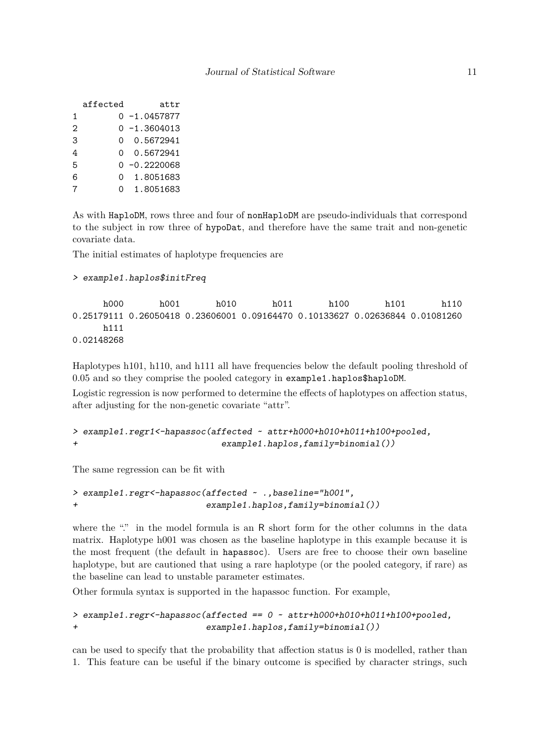|   | affected | attr             |
|---|----------|------------------|
| 1 |          | $0 - 1.0457877$  |
| 2 |          | $0 - 1.3604013$  |
| 3 | O.       | 0.5672941        |
| 4 | O.       | 0.5672941        |
| 5 |          | 0 -0.2220068     |
| 6 | O.       | 1.8051683        |
| 7 |          | 1.8051683<br>ი - |

As with HaploDM, rows three and four of nonHaploDM are pseudo-individuals that correspond to the subject in row three of hypoDat, and therefore have the same trait and non-genetic covariate data.

The initial estimates of haplotype frequencies are

```
> example1.haplos$initFreq
```
h000 h001 h010 h011 h100 h101 h110 0.25179111 0.26050418 0.23606001 0.09164470 0.10133627 0.02636844 0.01081260 h111 0.02148268

Haplotypes h101, h110, and h111 all have frequencies below the default pooling threshold of 0.05 and so they comprise the pooled category in example1.haplos\$haploDM.

Logistic regression is now performed to determine the effects of haplotypes on affection status, after adjusting for the non-genetic covariate "attr".

```
> example1.regr1<-hapassoc(affected ~ attr+h000+h010+h011+h100+pooled,
+ example1.haplos,family=binomial())
```
The same regression can be fit with

```
> example1.regr<-hapassoc(affected ~ .,baseline="h001",
+ example1.haplos,family=binomial())
```
where the "." in the model formula is an R short form for the other columns in the data matrix. Haplotype h001 was chosen as the baseline haplotype in this example because it is the most frequent (the default in hapassoc). Users are free to choose their own baseline haplotype, but are cautioned that using a rare haplotype (or the pooled category, if rare) as the baseline can lead to unstable parameter estimates.

Other formula syntax is supported in the hapassoc function. For example,

```
> example1.regr<-hapassoc(affected == 0 ~ attr+h000+h010+h011+h100+pooled,
+ example1.haplos,family=binomial())
```
can be used to specify that the probability that affection status is 0 is modelled, rather than 1. This feature can be useful if the binary outcome is specified by character strings, such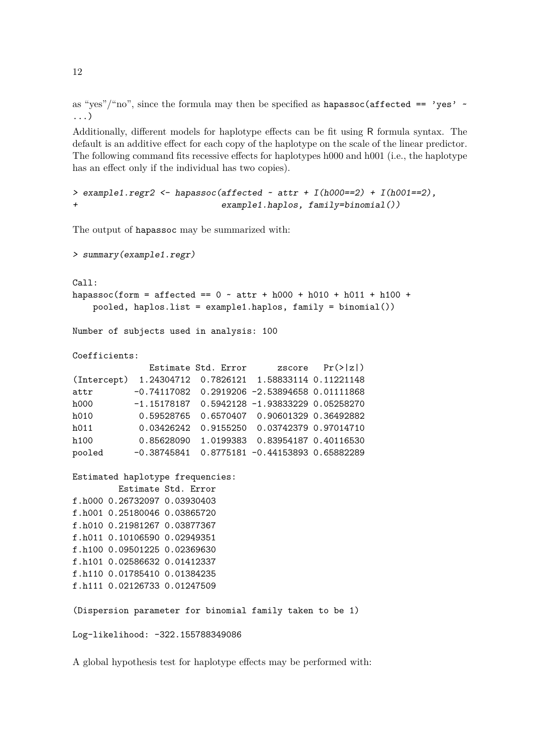as "yes"/"no", since the formula may then be specified as hapassoc(affected  $==$  'yes'  $\sim$ ...)

Additionally, different models for haplotype effects can be fit using R formula syntax. The default is an additive effect for each copy of the haplotype on the scale of the linear predictor. The following command fits recessive effects for haplotypes h000 and h001 (i.e., the haplotype has an effect only if the individual has two copies).

```
> example1.regr2 <- hapassoc(affected \sim attr + I(h000==2) + I(h001==2),
+ example1.haplos, family=binomial())
```
The output of hapassoc may be summarized with:

```
> summary(example1.regr)
C_{2}11hapassoc(form = affected == 0 \sim \text{attr} + \text{h}000 + \text{h}010 + \text{h}011 + \text{h}100 + \text{h}011 + \text{h}010 + \text{h}011 + \text{h}010 + \text{h}011 + \text{h}011 + \text{h}011 + \text{h}011 + \text{h}011 + \text{h}100 + \text{h}011 + \text{h}100 + \text{h}011 + \text{h}100 + \text{h}111 + \text{h}100 + \text{pooled, haplos.list = example1.haplos, family = binomial())
Number of subjects used in analysis: 100
Coefficients:
                  Estimate Std. Error zscore Pr(>|z|)
(Intercept) 1.24304712 0.7826121 1.58833114 0.11221148
attr -0.74117082 0.2919206 -2.53894658 0.01111868
h000 -1.15178187 0.5942128 -1.93833229 0.05258270
h010 0.59528765 0.6570407 0.90601329 0.36492882
h011 0.03426242 0.9155250 0.03742379 0.97014710
h100 0.85628090 1.0199383 0.83954187 0.40116530
pooled -0.38745841 0.8775181 -0.44153893 0.65882289
Estimated haplotype frequencies:
           Estimate Std. Error
f.h000 0.26732097 0.03930403
f.h001 0.25180046 0.03865720
f.h010 0.21981267 0.03877367
f.h011 0.10106590 0.02949351
f.h100 0.09501225 0.02369630
f.h101 0.02586632 0.01412337
f.h110 0.01785410 0.01384235
f.h111 0.02126733 0.01247509
(Dispersion parameter for binomial family taken to be 1)
```
Log-likelihood: -322.155788349086

A global hypothesis test for haplotype effects may be performed with: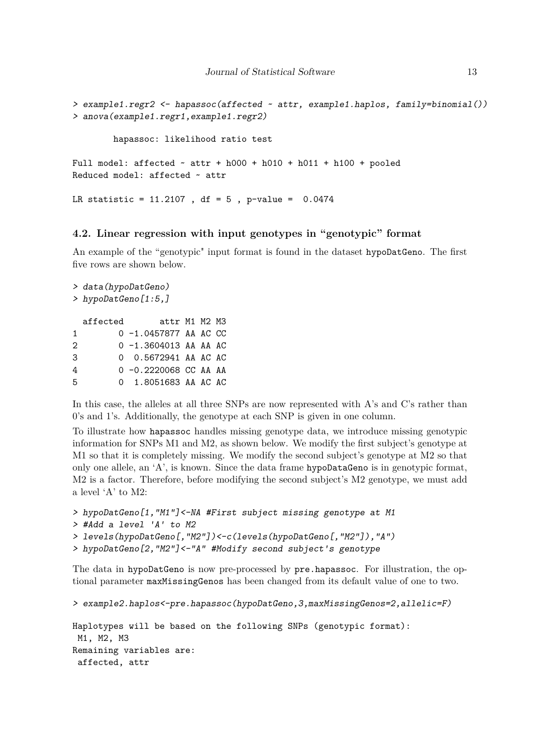```
> example1.regr2 <- hapassoc(affected ~ attr, example1.haplos, family=binomial())
> anova(example1.regr1,example1.regr2)
        hapassoc: likelihood ratio test
Full model: affected \sim attr + h000 + h010 + h011 + h100 + pooled
Reduced model: affected \sim attr
LR statistic = 11.2107 , df = 5 , p-value = 0.0474
```
#### **4.2. Linear regression with input genotypes in "genotypic" format**

An example of the "genotypic" input format is found in the dataset hypoDatGeno. The first five rows are shown below.

```
> data(hypoDatGeno)
> hypoDatGeno[1:5,]
 affected attr M1 M2 M3
1 0 -1.0457877 AA AC CC
2 0 -1.3604013 AA AA AC
3 0 0.5672941 AA AC AC
4 0 -0.2220068 CC AA AA
5 0 1.8051683 AA AC AC
```
In this case, the alleles at all three SNPs are now represented with A's and C's rather than 0's and 1's. Additionally, the genotype at each SNP is given in one column.

To illustrate how hapassoc handles missing genotype data, we introduce missing genotypic information for SNPs M1 and M2, as shown below. We modify the first subject's genotype at M1 so that it is completely missing. We modify the second subject's genotype at M2 so that only one allele, an 'A', is known. Since the data frame hypoDataGeno is in genotypic format, M2 is a factor. Therefore, before modifying the second subject's M2 genotype, we must add a level 'A' to M2:

```
> hypoDatGeno[1,"M1"]<-NA #First subject missing genotype at M1
> #Add a level 'A' to M2
> levels(hypoDatGeno[,"M2"])<-c(levels(hypoDatGeno[,"M2"]),"A")
> hypoDatGeno[2,"M2"]<-"A" #Modify second subject's genotype
```
The data in hypoDatGeno is now pre-processed by pre.hapassoc. For illustration, the optional parameter maxMissingGenos has been changed from its default value of one to two.

```
> example2.haplos<-pre.hapassoc(hypoDatGeno,3,maxMissingGenos=2,allelic=F)
Haplotypes will be based on the following SNPs (genotypic format):
 M1, M2, M3
Remaining variables are:
 affected, attr
```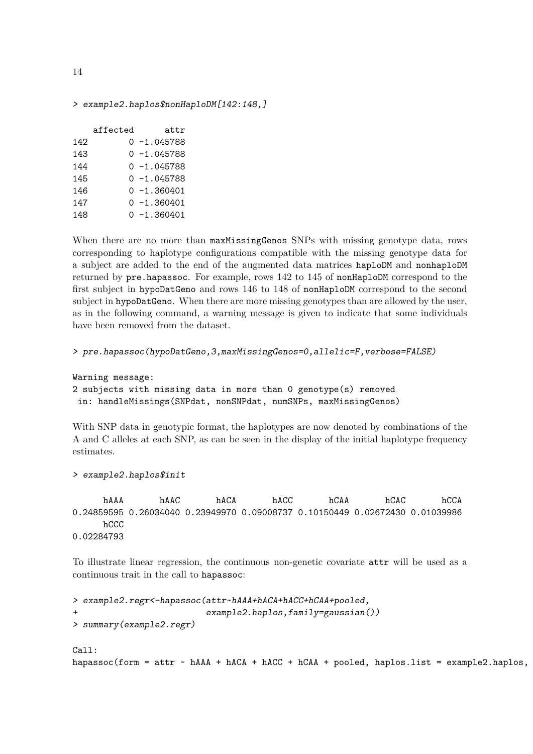> example2.haplos\$nonHaploDM[142:148,]

|     | affected | attr           |
|-----|----------|----------------|
| 142 |          | $0 - 1.045788$ |
| 143 |          | $0 - 1.045788$ |
| 144 |          | $0 - 1.045788$ |
| 145 |          | $0 - 1.045788$ |
| 146 |          | $0 - 1.360401$ |
| 147 |          | $0 - 1.360401$ |
| 148 |          | $0 - 1.360401$ |
|     |          |                |

When there are no more than maxMissingGenos SNPs with missing genotype data, rows corresponding to haplotype configurations compatible with the missing genotype data for a subject are added to the end of the augmented data matrices haploDM and nonhaploDM returned by pre.hapassoc. For example, rows 142 to 145 of nonHaploDM correspond to the first subject in hypoDatGeno and rows 146 to 148 of nonHaploDM correspond to the second subject in hypoDatGeno. When there are more missing genotypes than are allowed by the user, as in the following command, a warning message is given to indicate that some individuals have been removed from the dataset.

```
> pre.hapassoc(hypoDatGeno,3,maxMissingGenos=0,allelic=F,verbose=FALSE)
```

```
Warning message:
```
2 subjects with missing data in more than 0 genotype(s) removed in: handleMissings(SNPdat, nonSNPdat, numSNPs, maxMissingGenos)

With SNP data in genotypic format, the haplotypes are now denoted by combinations of the A and C alleles at each SNP, as can be seen in the display of the initial haplotype frequency estimates.

```
> example2.haplos$init
```
hAAA hAAC hACA hACC hCAA hCAC hCCA 0.24859595 0.26034040 0.23949970 0.09008737 0.10150449 0.02672430 0.01039986 hCCC 0.02284793

To illustrate linear regression, the continuous non-genetic covariate attr will be used as a continuous trait in the call to hapassoc:

```
> example2.regr<-hapassoc(attr~hAAA+hACA+hACC+hCAA+pooled,
                           example2.haplos,family=gaussian())
> summary(example2.regr)
Call:
hapassoc(form = attr \sim hAAA + hACA + hACC + hCAA + pooled, haplos.list = example2.haplos,
```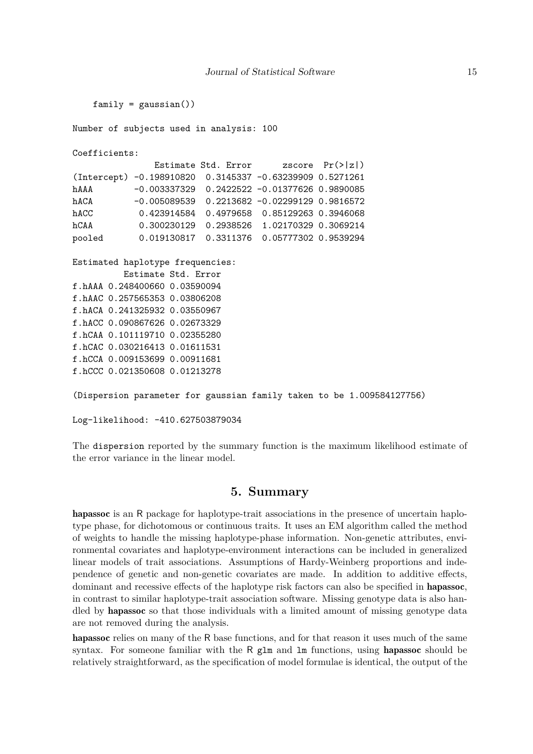```
family = gaussian()Number of subjects used in analysis: 100
Coefficients:
               Estimate Std. Error zscore Pr(>|z|)
(Intercept) -0.198910820 0.3145337 -0.63239909 0.5271261
hAAA -0.003337329 0.2422522 -0.01377626 0.9890085
hACA -0.005089539 0.2213682 -0.02299129 0.9816572
hACC 0.423914584 0.4979658 0.85129263 0.3946068
hCAA 0.300230129 0.2938526 1.02170329 0.3069214
pooled 0.019130817 0.3311376 0.05777302 0.9539294
Estimated haplotype frequencies:
         Estimate Std. Error
f.hAAA 0.248400660 0.03590094
f.hAAC 0.257565353 0.03806208
f.hACA 0.241325932 0.03550967
f.hACC 0.090867626 0.02673329
f.hCAA 0.101119710 0.02355280
f.hCAC 0.030216413 0.01611531
f.hCCA 0.009153699 0.00911681
f.hCCC 0.021350608 0.01213278
(Dispersion parameter for gaussian family taken to be 1.009584127756)
```
Log-likelihood: -410.627503879034

The dispersion reported by the summary function is the maximum likelihood estimate of the error variance in the linear model.

# **5. Summary**

hapassoc is an R package for haplotype-trait associations in the presence of uncertain haplotype phase, for dichotomous or continuous traits. It uses an EM algorithm called the method of weights to handle the missing haplotype-phase information. Non-genetic attributes, environmental covariates and haplotype-environment interactions can be included in generalized linear models of trait associations. Assumptions of Hardy-Weinberg proportions and independence of genetic and non-genetic covariates are made. In addition to additive effects, dominant and recessive effects of the haplotype risk factors can also be specified in **hapassoc**, in contrast to similar haplotype-trait association software. Missing genotype data is also handled by hapassoc so that those individuals with a limited amount of missing genotype data are not removed during the analysis.

hapassoc relies on many of the R base functions, and for that reason it uses much of the same syntax. For someone familiar with the R  $g1m$  and  $1m$  functions, using **hapassoc** should be relatively straightforward, as the specification of model formulae is identical, the output of the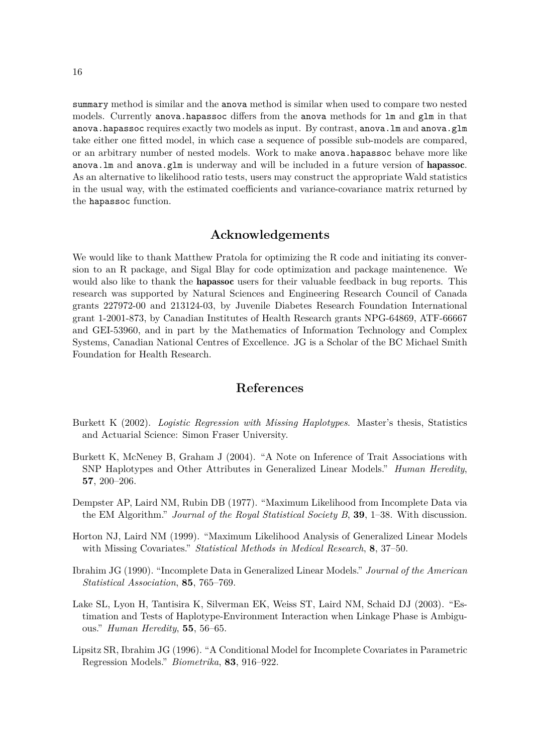summary method is similar and the anova method is similar when used to compare two nested models. Currently anova.hapassoc differs from the anova methods for lm and glm in that anova.hapassoc requires exactly two models as input. By contrast, anova.lm and anova.glm take either one fitted model, in which case a sequence of possible sub-models are compared, or an arbitrary number of nested models. Work to make anova.hapassoc behave more like anova. Im and anova.glm is underway and will be included in a future version of hapassoc. As an alternative to likelihood ratio tests, users may construct the appropriate Wald statistics in the usual way, with the estimated coefficients and variance-covariance matrix returned by the hapassoc function.

# **Acknowledgements**

We would like to thank Matthew Pratola for optimizing the R code and initiating its conversion to an R package, and Sigal Blay for code optimization and package maintenence. We would also like to thank the **hapassoc** users for their valuable feedback in bug reports. This research was supported by Natural Sciences and Engineering Research Council of Canada grants 227972-00 and 213124-03, by Juvenile Diabetes Research Foundation International grant 1-2001-873, by Canadian Institutes of Health Research grants NPG-64869, ATF-66667 and GEI-53960, and in part by the Mathematics of Information Technology and Complex Systems, Canadian National Centres of Excellence. JG is a Scholar of the BC Michael Smith Foundation for Health Research.

# **References**

- <span id="page-15-6"></span>Burkett K (2002). *Logistic Regression with Missing Haplotypes*. Master's thesis, Statistics and Actuarial Science: Simon Fraser University.
- <span id="page-15-1"></span>Burkett K, McNeney B, Graham J (2004). "A Note on Inference of Trait Associations with SNP Haplotypes and Other Attributes in Generalized Linear Models." *Human Heredity*, **57**, 200–206.
- <span id="page-15-3"></span>Dempster AP, Laird NM, Rubin DB (1977). "Maximum Likelihood from Incomplete Data via the EM Algorithm." *Journal of the Royal Statistical Society B*, **39**, 1–38. With discussion.
- <span id="page-15-4"></span>Horton NJ, Laird NM (1999). "Maximum Likelihood Analysis of Generalized Linear Models with Missing Covariates." *Statistical Methods in Medical Research*, **8**, 37–50.
- <span id="page-15-2"></span>Ibrahim JG (1990). "Incomplete Data in Generalized Linear Models." *Journal of the American Statistical Association*, **85**, 765–769.
- <span id="page-15-0"></span>Lake SL, Lyon H, Tantisira K, Silverman EK, Weiss ST, Laird NM, Schaid DJ (2003). "Estimation and Tests of Haplotype-Environment Interaction when Linkage Phase is Ambiguous." *Human Heredity*, **55**, 56–65.
- <span id="page-15-5"></span>Lipsitz SR, Ibrahim JG (1996). "A Conditional Model for Incomplete Covariates in Parametric Regression Models." *Biometrika*, **83**, 916–922.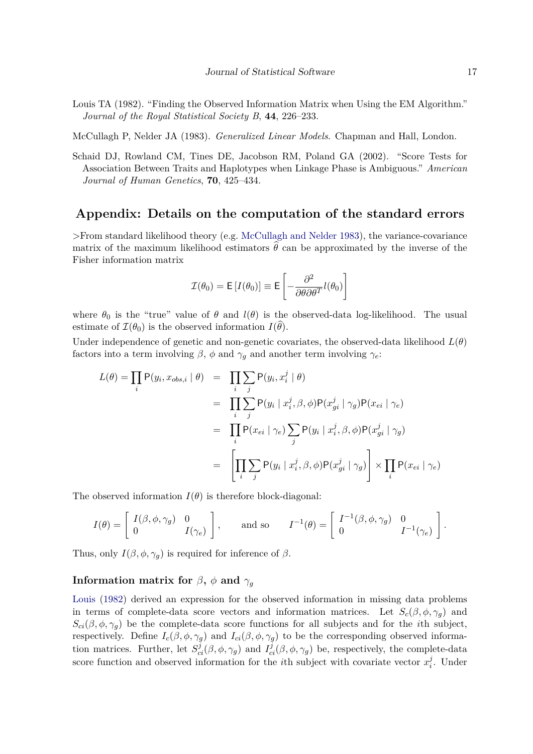<span id="page-16-1"></span>Louis TA (1982). "Finding the Observed Information Matrix when Using the EM Algorithm." *Journal of the Royal Statistical Society B*, **44**, 226–233.

<span id="page-16-0"></span>McCullagh P, Nelder JA (1983). *Generalized Linear Models*. Chapman and Hall, London.

<span id="page-16-2"></span>Schaid DJ, Rowland CM, Tines DE, Jacobson RM, Poland GA (2002). "Score Tests for Association Between Traits and Haplotypes when Linkage Phase is Ambiguous." *American Journal of Human Genetics*, **70**, 425–434.

## **Appendix: Details on the computation of the standard errors**

>From standard likelihood theory (e.g. [McCullagh and Nelder 1983\)](#page-16-0), the variance-covariance matrix of the maximum likelihood estimators  $\hat{\theta}$  can be approximated by the inverse of the Fisher information matrix

$$
\mathcal{I}(\theta_0) = \mathsf{E}\left[I(\theta_0)\right] \equiv \mathsf{E}\left[-\frac{\partial^2}{\partial \theta \partial \theta^T}l(\theta_0)\right]
$$

where  $\theta_0$  is the "true" value of  $\theta$  and  $l(\theta)$  is the observed-data log-likelihood. The usual estimate of  $\mathcal{I}(\theta_0)$  is the observed information  $I(\theta)$ .

Under independence of genetic and non-genetic covariates, the observed-data likelihood  $L(\theta)$ factors into a term involving  $\beta$ ,  $\phi$  and  $\gamma_q$  and another term involving  $\gamma_e$ :

$$
L(\theta) = \prod_{i} P(y_i, x_{obs,i} | \theta) = \prod_{i} \sum_{j} P(y_i, x_i^j | \theta)
$$
  
= 
$$
\prod_{i} \sum_{j} P(y_i | x_i^j, \beta, \phi) P(x_{gi}^j | \gamma_g) P(x_{ei} | \gamma_e)
$$
  
= 
$$
\prod_{i} P(x_{ei} | \gamma_e) \sum_{j} P(y_i | x_i^j, \beta, \phi) P(x_{gi}^j | \gamma_g)
$$
  
= 
$$
\left[ \prod_{i} \sum_{j} P(y_i | x_i^j, \beta, \phi) P(x_{gi}^j | \gamma_g) \right] \times \prod_{i} P(x_{ei} | \gamma_e)
$$

The observed information  $I(\theta)$  is therefore block-diagonal:

$$
I(\theta) = \begin{bmatrix} I(\beta, \phi, \gamma_g) & 0 \\ 0 & I(\gamma_e) \end{bmatrix}, \quad \text{and so} \quad I^{-1}(\theta) = \begin{bmatrix} I^{-1}(\beta, \phi, \gamma_g) & 0 \\ 0 & I^{-1}(\gamma_e) \end{bmatrix}.
$$

Thus, only  $I(\beta, \phi, \gamma_q)$  is required for inference of  $\beta$ .

# **Information matrix for**  $\beta$ ,  $\phi$  **and**  $\gamma_g$

[Louis](#page-16-1) [\(1982\)](#page-16-1) derived an expression for the observed information in missing data problems in terms of complete-data score vectors and information matrices. Let  $S_c(\beta, \phi, \gamma_q)$  and  $S_{ci}(\beta, \phi, \gamma_q)$  be the complete-data score functions for all subjects and for the *i*th subject, respectively. Define  $I_c(\beta, \phi, \gamma_g)$  and  $I_{ci}(\beta, \phi, \gamma_g)$  to be the corresponding observed information matrices. Further, let  $S_{ci}^{j}(\beta, \phi, \gamma_g)$  and  $I_{ci}^{j}(\beta, \phi, \gamma_g)$  be, respectively, the complete-data score function and observed information for the *i*th subject with covariate vector  $x_i^j$ *i* . Under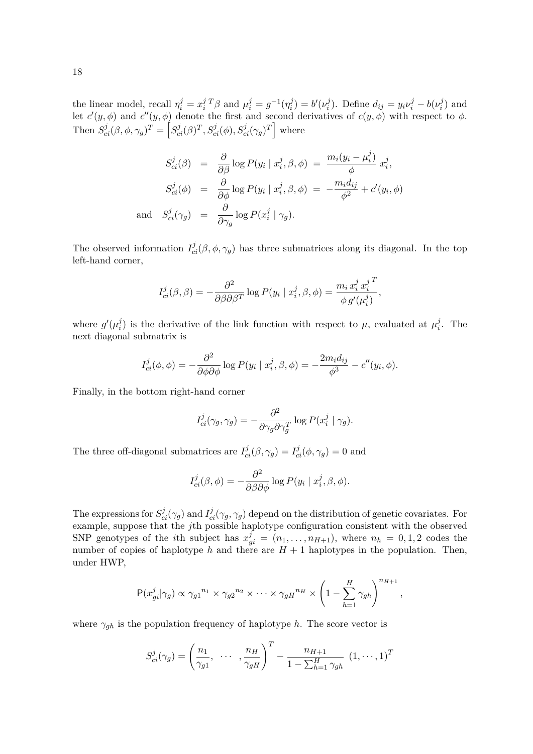the linear model, recall  $\eta_i^j = x_i^j$  $i$ <sup>*T*</sup> $\beta$  and  $\mu_i^j = g^{-1}(\eta_i^j)$  $b_i^j$ ) =  $b'(v_i^j)$ *i*<sup>*j*</sup>). Define  $d_{ij} = y_i v_i^j - b(v_i^j)$  $r_i^j$ ) and let  $c'(y, \phi)$  and  $c''(y, \phi)$  denote the first and second derivatives of  $c(y, \phi)$  with respect to  $\phi$ . Then  $S^j_{ci}(\beta, \phi, \gamma_g)^T = \left[S^j_{ci}(\beta)^T, S^j_{ci}(\phi), S^j_{ci}(\gamma_g)^T\right]$  where

$$
S_{ci}^{j}(\beta) = \frac{\partial}{\partial \beta} \log P(y_i | x_i^j, \beta, \phi) = \frac{m_i(y_i - \mu_i^j)}{\phi} x_i^j,
$$
  
\n
$$
S_{ci}^{j}(\phi) = \frac{\partial}{\partial \phi} \log P(y_i | x_i^j, \beta, \phi) = -\frac{m_i d_{ij}}{\phi^2} + c'(y_i, \phi)
$$
  
\nand 
$$
S_{ci}^{j}(\gamma_g) = \frac{\partial}{\partial \gamma_g} \log P(x_i^j | \gamma_g).
$$

The observed information  $I_{ci}^{j}(\beta, \phi, \gamma_g)$  has three submatrices along its diagonal. In the top left-hand corner,

$$
I_{ci}^{j}(\beta,\beta) = -\frac{\partial^{2}}{\partial \beta \partial \beta^{T}} \log P(y_{i} | x_{i}^{j}, \beta, \phi) = \frac{m_{i} x_{i}^{j} x_{i}^{j}}{\phi g'(\mu_{i}^{j})},
$$

where  $g'(\mu_i^j)$ *i*) is the derivative of the link function with respect to  $\mu$ , evaluated at  $\mu_i^j$  $\eta_i^j$ . The next diagonal submatrix is

$$
I_{ci}^{j}(\phi,\phi) = -\frac{\partial^{2}}{\partial \phi \partial \phi} \log P(y_{i} | x_{i}^{j}, \beta, \phi) = -\frac{2m_{i}d_{ij}}{\phi^{3}} - c''(y_{i}, \phi).
$$

Finally, in the bottom right-hand corner

$$
I_{ci}^{j}(\gamma_g, \gamma_g) = -\frac{\partial^2}{\partial \gamma_g \partial \gamma_g^T} \log P(x_i^j \mid \gamma_g).
$$

The three off-diagonal submatrices are  $I_{ci}^{j}(\beta, \gamma_g) = I_{ci}^{j}(\phi, \gamma_g) = 0$  and

$$
I_{ci}^{j}(\beta, \phi) = -\frac{\partial^{2}}{\partial \beta \partial \phi} \log P(y_{i} | x_{i}^{j}, \beta, \phi).
$$

The expressions for  $S^j_{ci}(\gamma_g)$  and  $I^j_{ci}(\gamma_g, \gamma_g)$  depend on the distribution of genetic covariates. For example, suppose that the *j*th possible haplotype configuration consistent with the observed SNP genotypes of the *i*th subject has  $x_{gi}^j = (n_1, \ldots, n_{H+1})$ , where  $n_h = 0, 1, 2$  codes the number of copies of haplotype *h* and there are  $H + 1$  haplotypes in the population. Then, under HWP,

$$
P(x_{gi}^j|\gamma_g) \propto \gamma_{g1}^{n_1} \times \gamma_{g2}^{n_2} \times \cdots \times \gamma_{gH}^{n_H} \times \left(1 - \sum_{h=1}^H \gamma_{gh}\right)^{n_{H+1}},
$$

where  $\gamma_{gh}$  is the population frequency of haplotype *h*. The score vector is

$$
S_{ci}^{j}(\gamma_g) = \left(\frac{n_1}{\gamma_{g1}}, \cdots, \frac{n_H}{\gamma_{gH}}\right)^T - \frac{n_{H+1}}{1 - \sum_{h=1}^H \gamma_{gh}} (1, \cdots, 1)^T
$$